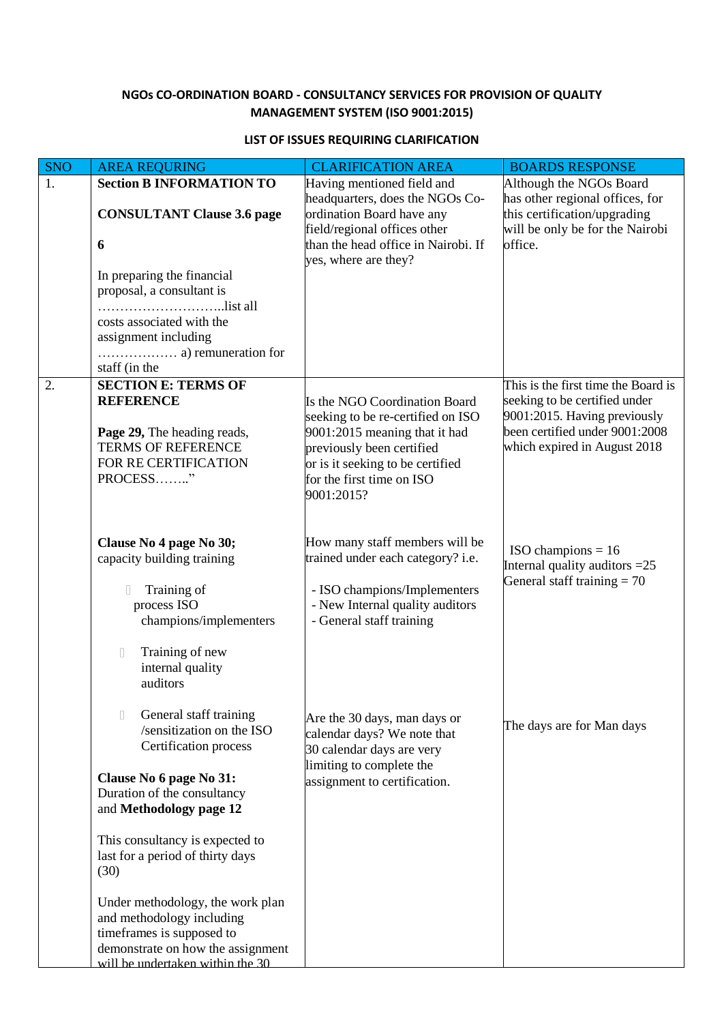## **NGOs CO-ORDINATION BOARD - CONSULTANCY SERVICES FOR PROVISION OF QUALITY MANAGEMENT SYSTEM (ISO 9001:2015)**

## **LIST OF ISSUES REQUIRING CLARIFICATION**

| SNO | <b>AREA REQURING</b>                                      | <b>CLARIFICATION AREA</b>                                                                           | <b>BOARDS RESPONSE</b>                                                                          |
|-----|-----------------------------------------------------------|-----------------------------------------------------------------------------------------------------|-------------------------------------------------------------------------------------------------|
| 1.  | <b>Section B INFORMATION TO</b>                           | Having mentioned field and<br>headquarters, does the NGOs Co-                                       | Although the NGOs Board<br>has other regional offices, for                                      |
|     | <b>CONSULTANT Clause 3.6 page</b>                         | ordination Board have any                                                                           | this certification/upgrading                                                                    |
|     |                                                           | field/regional offices other<br>than the head office in Nairobi. If                                 | will be only be for the Nairobi<br>office.                                                      |
|     | 6                                                         | yes, where are they?                                                                                |                                                                                                 |
|     | In preparing the financial                                |                                                                                                     |                                                                                                 |
|     | proposal, a consultant is<br>list all                     |                                                                                                     |                                                                                                 |
|     | costs associated with the                                 |                                                                                                     |                                                                                                 |
|     | assignment including                                      |                                                                                                     |                                                                                                 |
|     | staff (in the                                             |                                                                                                     |                                                                                                 |
| 2.  | <b>SECTION E: TERMS OF</b>                                |                                                                                                     | This is the first time the Board is                                                             |
|     | <b>REFERENCE</b><br>Page 29, The heading reads,           | Is the NGO Coordination Board<br>seeking to be re-certified on ISO<br>9001:2015 meaning that it had | seeking to be certified under<br>9001:2015. Having previously<br>been certified under 9001:2008 |
|     | <b>TERMS OF REFERENCE</b><br>FOR RE CERTIFICATION         | previously been certified<br>or is it seeking to be certified                                       | which expired in August 2018                                                                    |
|     | PROCESS"                                                  | for the first time on ISO<br>9001:2015?                                                             |                                                                                                 |
|     |                                                           |                                                                                                     |                                                                                                 |
|     | Clause No 4 page No 30;<br>capacity building training     | How many staff members will be<br>trained under each category? i.e.                                 | $ISO$ champions = 16<br>Internal quality auditors $=25$                                         |
|     | Training of<br>$\Box$                                     | - ISO champions/Implementers                                                                        | General staff training $= 70$                                                                   |
|     | process ISO<br>champions/implementers                     | - New Internal quality auditors<br>- General staff training                                         |                                                                                                 |
|     |                                                           |                                                                                                     |                                                                                                 |
|     | Training of new<br>$\begin{array}{c} \square \end{array}$ |                                                                                                     |                                                                                                 |
|     | internal quality<br>auditors                              |                                                                                                     |                                                                                                 |
|     |                                                           |                                                                                                     |                                                                                                 |
|     | General staff training<br>I<br>/sensitization on the ISO  | Are the 30 days, man days or                                                                        | The days are for Man days                                                                       |
|     | Certification process                                     | calendar days? We note that<br>30 calendar days are very                                            |                                                                                                 |
|     | Clause No 6 page No 31:                                   | limiting to complete the<br>assignment to certification.                                            |                                                                                                 |
|     | Duration of the consultancy                               |                                                                                                     |                                                                                                 |
|     | and Methodology page 12                                   |                                                                                                     |                                                                                                 |
|     | This consultancy is expected to                           |                                                                                                     |                                                                                                 |
|     | last for a period of thirty days<br>(30)                  |                                                                                                     |                                                                                                 |
|     |                                                           |                                                                                                     |                                                                                                 |
|     | Under methodology, the work plan                          |                                                                                                     |                                                                                                 |
|     | and methodology including<br>timeframes is supposed to    |                                                                                                     |                                                                                                 |
|     | demonstrate on how the assignment                         |                                                                                                     |                                                                                                 |
|     | will be undertaken within the 30                          |                                                                                                     |                                                                                                 |